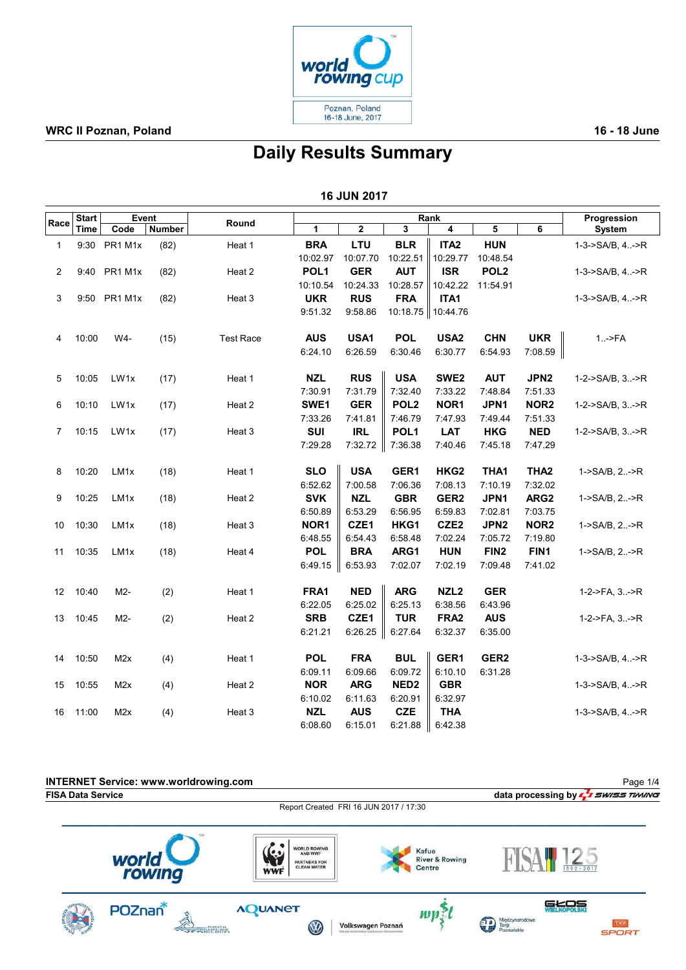

## Daily Results Summary

| <b>16 JUN 2017</b> |  |  |  |  |  |
|--------------------|--|--|--|--|--|
|--------------------|--|--|--|--|--|

|                | <b>Start</b> | Event            |               |                  | Rank             |            |                     |                  | Progression      |                  |                        |
|----------------|--------------|------------------|---------------|------------------|------------------|------------|---------------------|------------------|------------------|------------------|------------------------|
| Race           | Time         | Code             | <b>Number</b> | Round            | 1                | $\bf{2}$   | 3                   | 4                | 5                | 6                | System                 |
| 1              |              | 9:30 PR1 M1x     | (82)          | Heat 1           | <b>BRA</b>       | LTU        | <b>BLR</b>          | ITA <sub>2</sub> | <b>HUN</b>       |                  | $1-3-5A/B, 4.-5R$      |
|                |              |                  |               |                  | 10:02.97         | 10:07.70   | 10:22.51            | 10:29.77         | 10:48.54         |                  |                        |
| 2              |              | 9:40 PR1 M1x     | (82)          | Heat 2           | POL <sub>1</sub> | <b>GER</b> | <b>AUT</b>          | <b>ISR</b>       | POL <sub>2</sub> |                  | $1-3->SA/B, 4:-\gt R$  |
|                |              |                  |               |                  | 10:10.54         | 10:24.33   | 10:28.57            | 10:42.22         | 11:54.91         |                  |                        |
| 3              |              | 9:50 PR1 M1x     | (82)          | Heat 3           | <b>UKR</b>       | <b>RUS</b> | <b>FRA</b>          | ITA1             |                  |                  | $1-3 -SA/B$ , $4.  >R$ |
|                |              |                  |               |                  | 9:51.32          | 9:58.86    | 10:18.75   10:44.76 |                  |                  |                  |                        |
| 4              | 10:00        | W4-              | (15)          | <b>Test Race</b> | <b>AUS</b>       | USA1       | <b>POL</b>          | USA <sub>2</sub> | <b>CHN</b>       | <b>UKR</b>       | $1.  F A$              |
|                |              |                  |               |                  | 6:24.10          | 6:26.59    | 6:30.46             | 6:30.77          | 6:54.93          | 7:08.59          |                        |
| 5              | 10:05        | LW1x             | (17)          | Heat 1           | <b>NZL</b>       | <b>RUS</b> | <b>USA</b>          | SWE <sub>2</sub> | <b>AUT</b>       | JPN <sub>2</sub> | 1-2->SA/B, 3->R        |
|                |              |                  |               |                  | 7:30.91          | 7:31.79    | 7:32.40             | 7:33.22          | 7:48.84          | 7:51.33          |                        |
| 6              | 10:10        | LW1x             | (17)          | Heat 2           | SWE1             | <b>GER</b> | POL <sub>2</sub>    | NOR1             | JPN1             | NOR <sub>2</sub> | $1-2->SA/B, 3.-\gt R$  |
|                |              |                  |               |                  | 7:33.26          | 7:41.81    | 7:46.79             | 7:47.93          | 7:49.44          | 7:51.33          |                        |
| $\overline{7}$ | 10:15        | LW1x             | (17)          | Heat 3           | SUI              | <b>IRL</b> | POL <sub>1</sub>    | <b>LAT</b>       | <b>HKG</b>       | <b>NED</b>       | 1-2->SA/B, 3->R        |
|                |              |                  |               |                  | 7:29.28          | 7:32.72    | 7:36.38             | 7:40.46          | 7:45.18          | 7:47.29          |                        |
| 8              | 10:20        | LM <sub>1x</sub> | (18)          | Heat 1           | <b>SLO</b>       | <b>USA</b> | GER1                | HKG <sub>2</sub> | THA1             | THA <sub>2</sub> | $1-SA/B, 2.-R$         |
|                |              |                  |               |                  | 6:52.62          | 7:00.58    | 7:06.36             | 7:08.13          | 7:10.19          | 7:32.02          |                        |
| 9              | 10:25        | LM <sub>1x</sub> | (18)          | Heat 2           | <b>SVK</b>       | <b>NZL</b> | <b>GBR</b>          | GER <sub>2</sub> | JPN1             | ARG <sub>2</sub> | 1->SA/B, 2->R          |
|                |              |                  |               |                  | 6:50.89          | 6:53.29    | 6:56.95             | 6:59.83          | 7:02.81          | 7:03.75          |                        |
| 10             | 10:30        | LM <sub>1x</sub> | (18)          | Heat 3           | NOR <sub>1</sub> | CZE1       | HKG1                | CZE <sub>2</sub> | JPN <sub>2</sub> | NOR <sub>2</sub> | $1-SA/B, 2.-R$         |
|                |              |                  |               |                  | 6:48.55          | 6:54.43    | 6:58.48             | 7:02.24          | 7:05.72          | 7:19.80          |                        |
| 11             | 10:35        | LM <sub>1x</sub> | (18)          | Heat 4           | <b>POL</b>       | <b>BRA</b> | ARG1                | <b>HUN</b>       | FIN <sub>2</sub> | FIN1             | 1->SA/B, 2->R          |
|                |              |                  |               |                  | 6:49.15          | 6:53.93    | 7:02.07             | 7:02.19          | 7:09.48          | 7:41.02          |                        |
| 12             | 10:40        | M2-              | (2)           | Heat 1           | FRA1             | <b>NED</b> | <b>ARG</b>          | NZL <sub>2</sub> | <b>GER</b>       |                  | $1-2-5FA$ , $3. -5R$   |
|                |              |                  |               |                  | 6:22.05          | 6:25.02    | 6:25.13             | 6:38.56          | 6:43.96          |                  |                        |
| 13             | 10:45        | M2-              | (2)           | Heat 2           | <b>SRB</b>       | CZE1       | <b>TUR</b>          | FRA <sub>2</sub> | <b>AUS</b>       |                  | $1-2-5FA$ , $3. -5R$   |
|                |              |                  |               |                  | 6:21.21          | 6:26.25    | 6:27.64             | 6:32.37          | 6:35.00          |                  |                        |
| 14             | 10:50        | M2x              | (4)           | Heat 1           | <b>POL</b>       | <b>FRA</b> | <b>BUL</b>          | GER1             | GER <sub>2</sub> |                  | $1-3-5A/B, 4.-5R$      |
|                |              |                  |               |                  | 6:09.11          | 6:09.66    | 6:09.72             | 6:10.10          | 6:31.28          |                  |                        |
| 15             | 10:55        | M <sub>2</sub> x | (4)           | Heat 2           | <b>NOR</b>       | <b>ARG</b> | NED <sub>2</sub>    | <b>GBR</b>       |                  |                  | $1-3->SA/B, 4:-\gt R$  |
|                |              |                  |               |                  | 6:10.02          | 6:11.63    | 6:20.91             | 6:32.97          |                  |                  |                        |
| 16             | 11:00        | M <sub>2</sub> x | (4)           | Heat 3           | <b>NZL</b>       | <b>AUS</b> | <b>CZE</b>          | <b>THA</b>       |                  |                  | $1-3$ ->SA/B, $4$ ->R  |
|                |              |                  |               |                  | 6:08.60          | 6:15.01    | 6:21.88             | 6:42.38          |                  |                  |                        |

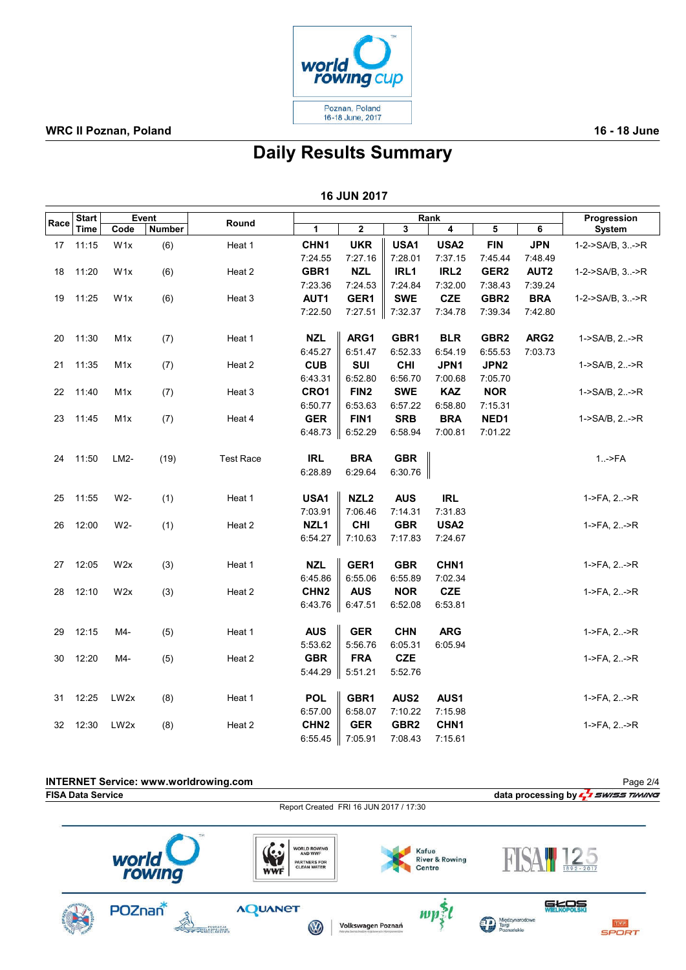

INTERNET Service: www.worldrowing.com

Page 2/4

# Daily Results Summary

|      |       |                  |               |                  |                  | <b>16 JUN 2017</b> |                         |                  |                         |                  |                         |
|------|-------|------------------|---------------|------------------|------------------|--------------------|-------------------------|------------------|-------------------------|------------------|-------------------------|
| Race | Start |                  | Event         | Round            |                  |                    |                         | Rank             |                         |                  | Progression             |
|      | Time  | Code             | <b>Number</b> |                  | $\mathbf{1}$     | $\mathbf 2$        | $\overline{\mathbf{3}}$ | $\overline{4}$   | $\overline{\mathbf{5}}$ | 6                | <b>System</b>           |
| 17   | 11:15 | W <sub>1</sub> x | (6)           | Heat 1           | CHN <sub>1</sub> | <b>UKR</b>         | USA1                    | USA <sub>2</sub> | <b>FIN</b>              | <b>JPN</b>       | 1-2->SA/B, 3->R         |
|      |       |                  |               |                  | 7:24.55          | 7:27.16            | 7:28.01                 | 7:37.15          | 7:45.44                 | 7:48.49          |                         |
| 18   | 11:20 | W <sub>1x</sub>  | (6)           | Heat 2           | GBR1             | <b>NZL</b>         | IRL1                    | IRL <sub>2</sub> | GER <sub>2</sub>        | AUT <sub>2</sub> | $1-2$ ->SA/B, $3. -$ >R |
|      |       |                  |               |                  | 7:23.36          | 7:24.53            | 7:24.84                 | 7:32.00          | 7:38.43                 | 7:39.24          |                         |
| 19   | 11:25 | W <sub>1x</sub>  | (6)           | Heat 3           | AUT1             | GER1               | <b>SWE</b>              | <b>CZE</b>       | GBR <sub>2</sub>        | <b>BRA</b>       | 1-2->SA/B, 3->R         |
|      |       |                  |               |                  | 7:22.50          | 7:27.51            | 7:32.37                 | 7:34.78          | 7:39.34                 | 7:42.80          |                         |
| 20   | 11:30 | M <sub>1</sub> x | (7)           | Heat 1           | <b>NZL</b>       | ARG1               | GBR1                    | <b>BLR</b>       | GBR <sub>2</sub>        | ARG <sub>2</sub> | $1-SA/B, 2.-R$          |
|      |       |                  |               |                  | 6:45.27          | 6:51.47            | 6:52.33                 | 6:54.19          | 6:55.53                 | 7:03.73          |                         |
| 21   | 11:35 | M <sub>1</sub> x | (7)           | Heat 2           | <b>CUB</b>       | <b>SUI</b>         | <b>CHI</b>              | JPN1             | JPN <sub>2</sub>        |                  | $1-SA/B, 2.-R$          |
|      |       |                  |               |                  | 6:43.31          | 6:52.80            | 6:56.70                 | 7:00.68          | 7:05.70                 |                  |                         |
| 22   | 11:40 | M <sub>1</sub> x | (7)           | Heat 3           | CRO1             | FIN <sub>2</sub>   | <b>SWE</b>              | <b>KAZ</b>       | <b>NOR</b>              |                  | 1->SA/B, 2->R           |
|      |       |                  |               |                  | 6:50.77          | 6:53.63            | 6:57.22                 | 6:58.80          | 7:15.31                 |                  |                         |
| 23   | 11:45 | M <sub>1</sub> x | (7)           | Heat 4           | <b>GER</b>       | FIN1               | <b>SRB</b>              | <b>BRA</b>       | NED1                    |                  | $1-SA/B, 2.-R$          |
|      |       |                  |               |                  | 6:48.73          | 6:52.29            | 6:58.94                 | 7:00.81          | 7:01.22                 |                  |                         |
| 24   | 11:50 | LM2-             | (19)          | <b>Test Race</b> | <b>IRL</b>       | <b>BRA</b>         | <b>GBR</b>              |                  |                         |                  | $1.-$ >FA               |
|      |       |                  |               |                  | 6:28.89          | 6:29.64            | 6:30.76                 |                  |                         |                  |                         |
| 25   | 11:55 | W2-              | (1)           | Heat 1           | USA1             | NZL <sub>2</sub>   | <b>AUS</b>              | <b>IRL</b>       |                         |                  | $1-PFA, 2. -PR$         |
|      |       |                  |               |                  | 7:03.91          | 7:06.46            | 7:14.31                 | 7:31.83          |                         |                  |                         |
| 26   | 12:00 | $W2-$            | (1)           | Heat 2           | NZL <sub>1</sub> | <b>CHI</b>         | <b>GBR</b>              | USA <sub>2</sub> |                         |                  | 1->FA, 2->R             |
|      |       |                  |               |                  | 6:54.27          | 7:10.63            | 7:17.83                 | 7:24.67          |                         |                  |                         |
| 27   | 12:05 | W2x              | (3)           | Heat 1           | <b>NZL</b>       | GER1               | <b>GBR</b>              | CHN <sub>1</sub> |                         |                  | 1->FA, 2->R             |
|      |       |                  |               |                  | 6:45.86          | 6:55.06            | 6:55.89                 | 7:02.34          |                         |                  |                         |
| 28   | 12:10 | W <sub>2</sub> x | (3)           | Heat 2           | CHN <sub>2</sub> | <b>AUS</b>         | <b>NOR</b>              | <b>CZE</b>       |                         |                  | $1-PFA, 2. -PR$         |
|      |       |                  |               |                  | 6:43.76          | 6:47.51            | 6:52.08                 | 6:53.81          |                         |                  |                         |
| 29   | 12:15 | M4-              | (5)           | Heat 1           | <b>AUS</b>       | <b>GER</b>         | <b>CHN</b>              | <b>ARG</b>       |                         |                  | $1-PFA, 2. -P R$        |
|      |       |                  |               |                  | 5:53.62          | 5:56.76            | 6:05.31                 | 6:05.94          |                         |                  |                         |
| 30   | 12:20 | M4-              | (5)           | Heat 2           | <b>GBR</b>       | <b>FRA</b>         | <b>CZE</b>              |                  |                         |                  | $1-PFA, 2. -PR$         |
|      |       |                  |               |                  | 5:44.29          | 5:51.21            | 5:52.76                 |                  |                         |                  |                         |
| 31   | 12:25 | LW <sub>2x</sub> | (8)           | Heat 1           | <b>POL</b>       | GBR1               | AUS <sub>2</sub>        | AUS1             |                         |                  | 1->FA, 2->R             |
|      |       |                  |               |                  | 6:57.00          | 6:58.07            | 7:10.22                 | 7:15.98          |                         |                  |                         |
| 32   | 12:30 | LW <sub>2x</sub> | (8)           | Heat 2           | CHN <sub>2</sub> | <b>GER</b>         | GBR <sub>2</sub>        | CHN <sub>1</sub> |                         |                  | $1-PFA, 2. -P R$        |
|      |       |                  |               |                  | 6:55.45          | 7:05.91            | 7:08.43                 | 7:15.61          |                         |                  |                         |

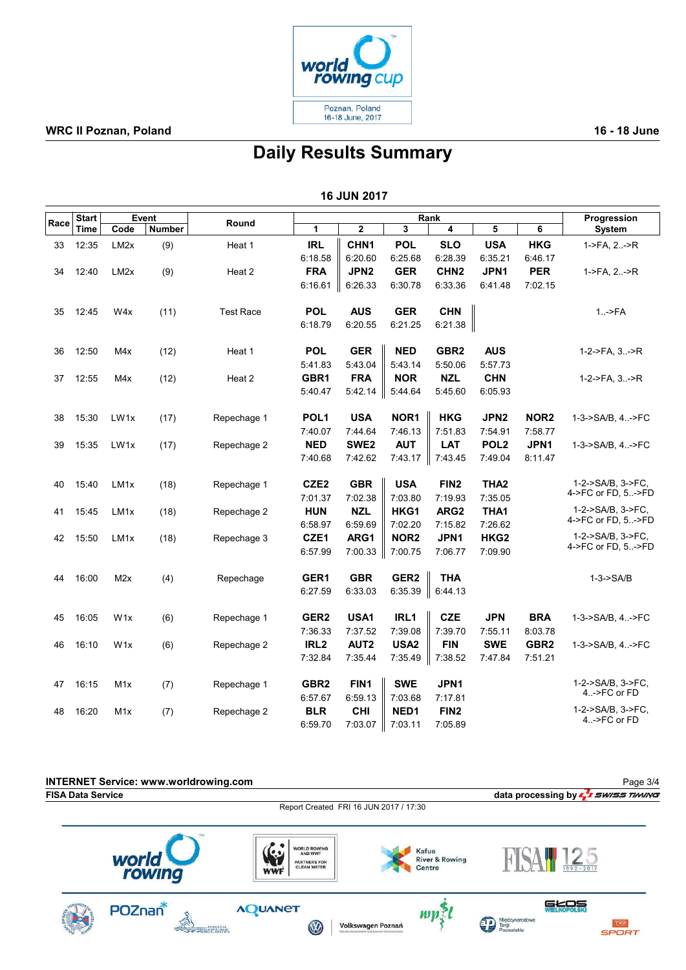

## Daily Results Summary

| <b>16 JUN 2017</b> |
|--------------------|
|--------------------|

|      | <b>Start</b> |                   | Event         |                  | Rank             |                  |                  |                  |                  |                  | Progression                             |
|------|--------------|-------------------|---------------|------------------|------------------|------------------|------------------|------------------|------------------|------------------|-----------------------------------------|
| Race | Time         | Code              | <b>Number</b> | Round            | 1                | $\overline{2}$   | 3                | 4                | 5                | 6                | <b>System</b>                           |
| 33   | 12:35        | LM <sub>2</sub> x | (9)           | Heat 1           | <b>IRL</b>       | CHN1             | <b>POL</b>       | <b>SLO</b>       | <b>USA</b>       | <b>HKG</b>       | 1->FA, 2->R                             |
|      |              |                   |               |                  | 6:18.58          | 6:20.60          | 6:25.68          | 6:28.39          | 6:35.21          | 6:46.17          |                                         |
| 34   | 12:40        | LM <sub>2</sub> x | (9)           | Heat 2           | <b>FRA</b>       | JPN2             | <b>GER</b>       | CHN <sub>2</sub> | JPN1             | <b>PER</b>       | 1->FA, 2->R                             |
|      |              |                   |               |                  | 6:16.61          | 6:26.33          | 6:30.78          | 6:33.36          | 6:41.48          | 7:02.15          |                                         |
| 35   | 12:45        | W4x               | (11)          | <b>Test Race</b> | <b>POL</b>       | <b>AUS</b>       | <b>GER</b>       | <b>CHN</b>       |                  |                  | $1.   FA$                               |
|      |              |                   |               |                  | 6:18.79          | 6:20.55          | 6:21.25          | 6:21.38          |                  |                  |                                         |
| 36   | 12:50        | M4x               | (12)          | Heat 1           | <b>POL</b>       | <b>GER</b>       | <b>NED</b>       | GBR <sub>2</sub> | <b>AUS</b>       |                  | 1-2->FA, 3->R                           |
|      |              |                   |               |                  | 5:41.83          | 5:43.04          | 5:43.14          | 5:50.06          | 5:57.73          |                  |                                         |
| 37   | 12:55        | M4x               | (12)          | Heat 2           | GBR1             | <b>FRA</b>       | <b>NOR</b>       | <b>NZL</b>       | <b>CHN</b>       |                  | 1-2->FA, 3->R                           |
|      |              |                   |               |                  | 5:40.47          | 5:42.14          | 5:44.64          | 5:45.60          | 6:05.93          |                  |                                         |
| 38   | 15:30        | LW1x              | (17)          | Repechage 1      | POL <sub>1</sub> | <b>USA</b>       | NOR1             | <b>HKG</b>       | JPN <sub>2</sub> | NOR <sub>2</sub> | 1-3->SA/B, 4->FC                        |
|      |              |                   |               |                  | 7:40.07          | 7:44.64          | 7:46.13          | 7:51.83          | 7:54.91          | 7:58.77          |                                         |
| 39   | 15:35        | LW1x              | (17)          | Repechage 2      | <b>NED</b>       | SWE <sub>2</sub> | <b>AUT</b>       | <b>LAT</b>       | POL <sub>2</sub> | JPN1             | 1-3->SA/B, 4->FC                        |
|      |              |                   |               |                  | 7:40.68          | 7:42.62          | 7:43.17          | 7:43.45          | 7:49.04          | 8:11.47          |                                         |
| 40   | 15:40        | LM <sub>1x</sub>  | (18)          | Repechage 1      | CZE <sub>2</sub> | <b>GBR</b>       | <b>USA</b>       | FIN <sub>2</sub> | THA <sub>2</sub> |                  | 1-2->SA/B, 3->FC,<br>4->FC or FD, 5->FD |
|      |              |                   |               |                  | 7:01.37          | 7:02.38          | 7:03.80          | 7:19.93          | 7:35.05          |                  |                                         |
| 41   | 15:45        | LM <sub>1x</sub>  | (18)          | Repechage 2      | <b>HUN</b>       | <b>NZL</b>       | HKG1             | ARG <sub>2</sub> | THA1             |                  | 1-2->SA/B, 3->FC,<br>4->FC or FD, 5->FD |
|      |              |                   |               |                  | 6:58.97          | 6:59.69          | 7:02.20          | 7:15.82          | 7:26.62          |                  |                                         |
| 42   | 15:50        | LM <sub>1x</sub>  | (18)          | Repechage 3      | CZE1             | ARG1             | NOR <sub>2</sub> | JPN1             | HKG <sub>2</sub> |                  | 1-2->SA/B, 3->FC,<br>4->FC or FD, 5->FD |
|      |              |                   |               |                  | 6:57.99          | 7:00.33          | 7:00.75          | 7:06.77          | 7:09.90          |                  |                                         |
| 44   | 16:00        | M2x               | (4)           | Repechage        | GER1             | <b>GBR</b>       | GER <sub>2</sub> | <b>THA</b>       |                  |                  | $1-3-SSA/B$                             |
|      |              |                   |               |                  | 6:27.59          | 6:33.03          | 6:35.39          | 6:44.13          |                  |                  |                                         |
| 45   | 16:05        | W <sub>1x</sub>   | (6)           | Repechage 1      | GER <sub>2</sub> | USA1             | IRL1             | <b>CZE</b>       | JPN              | <b>BRA</b>       | 1-3->SA/B, 4->FC                        |
|      |              |                   |               |                  | 7:36.33          | 7:37.52          | 7:39.08          | 7:39.70          | 7:55.11          | 8:03.78          |                                         |
| 46   | 16:10        | W <sub>1x</sub>   | (6)           | Repechage 2      | IRL <sub>2</sub> | AUT <sub>2</sub> | USA <sub>2</sub> | <b>FIN</b>       | <b>SWE</b>       | GBR <sub>2</sub> | 1-3->SA/B, 4->FC                        |
|      |              |                   |               |                  | 7:32.84          | 7:35.44          | 7:35.49          | 7:38.52          | 7:47.84          | 7:51.21          |                                         |
| 47   | 16:15        | M <sub>1</sub> x  | (7)           | Repechage 1      | GBR <sub>2</sub> | FIN1             | <b>SWE</b>       | JPN1             |                  |                  | 1-2->SA/B, 3->FC,                       |
|      |              |                   |               |                  | 6:57.67          | 6:59.13          | 7:03.68          | 7:17.81          |                  |                  | 4->FC or FD                             |
| 48   | 16:20        | M <sub>1</sub> x  | (7)           | Repechage 2      | <b>BLR</b>       | <b>CHI</b>       | NED1             | FIN <sub>2</sub> |                  |                  | 1-2->SA/B, 3->FC,                       |
|      |              |                   |               |                  | 6:59.70          | 7:03.07          | 7:03.11          | 7:05.89          |                  |                  | 4->FC or FD                             |